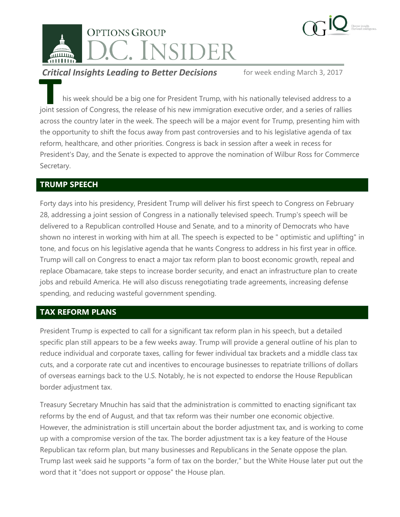



**Critical Insights Leading to Better Decisions** for week ending March 3, 2017

his week should be a big one for President Trump, with his nationally televised address to a joint session of Congress, the release of his new immigration executive order, and a series of rallies across the country later in the week. The speech will be a major event for Trump, presenting him with the opportunity to shift the focus away from past controversies and to his legislative agenda of tax reform, healthcare, and other priorities. Congress is back in session after a week in recess for President's Day, and the Senate is expected to approve the nomination of Wilbur Ross for Commerce Secretary. **T**

## **TRUMP SPEECH**

Forty days into his presidency, President Trump will deliver his first speech to Congress on February 28, addressing a joint session of Congress in a nationally televised speech. Trump's speech will be delivered to a Republican controlled House and Senate, and to a minority of Democrats who have shown no interest in working with him at all. The speech is expected to be " optimistic and uplifting" in tone, and focus on his legislative agenda that he wants Congress to address in his first year in office. Trump will call on Congress to enact a major tax reform plan to boost economic growth, repeal and replace Obamacare, take steps to increase border security, and enact an infrastructure plan to create jobs and rebuild America. He will also discuss renegotiating trade agreements, increasing defense spending, and reducing wasteful government spending.

## **TAX REFORM PLANS**

President Trump is expected to call for a significant tax reform plan in his speech, but a detailed specific plan still appears to be a few weeks away. Trump will provide a general outline of his plan to reduce individual and corporate taxes, calling for fewer individual tax brackets and a middle class tax cuts, and a corporate rate cut and incentives to encourage businesses to repatriate trillions of dollars of overseas earnings back to the U.S. Notably, he is not expected to endorse the House Republican border adjustment tax.

Treasury Secretary Mnuchin has said that the administration is committed to enacting significant tax reforms by the end of August, and that tax reform was their number one economic objective. However, the administration is still uncertain about the border adjustment tax, and is working to come up with a compromise version of the tax. The border adjustment tax is a key feature of the House Republican tax reform plan, but many businesses and Republicans in the Senate oppose the plan. Trump last week said he supports "a form of tax on the border," but the White House later put out the word that it "does not support or oppose" the House plan.